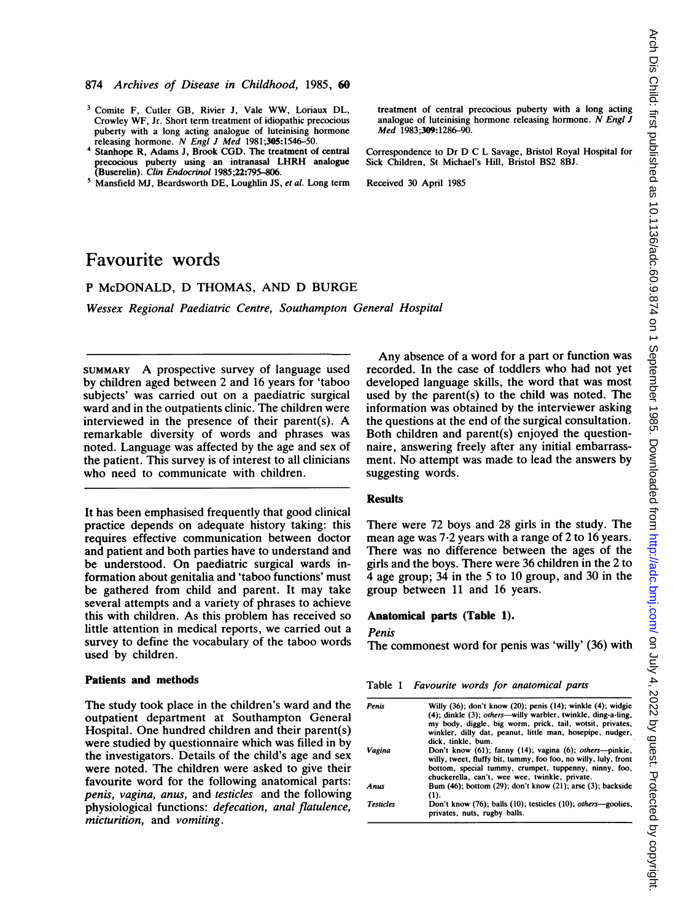- <sup>3</sup> Comite F, Cutler GB, Rivier J, Vale WW, Loriaux DL, Crowley WF, Jr. Short term treatment of idiopathic precocious puberty with a long acting analogue of luteinising hormone releasing hormone. N Engl <sup>J</sup> Med 1981;305:1546-50.
- <sup>4</sup> Stanhope R, Adams J, Brook CGD. The treatment of central precocious puberty using an intranasal LHRH analogue (Buserelin). Clin Endocrinol 1985;22:795-806.
- <sup>5</sup> Mansfield MJ, Beardsworth DE, Loughlin JS, et al. Long term

# Favourite words

# P McDONALD, D THOMAS, AND D BURGE

Wessex Regional Paediatric Centre, Southampton General Hospital

SUMMARY A prospective survey of language used by children aged between 2 and 16 years for 'taboo subjects' was carried out on a paediatric surgical ward and in the outpatients clinic. The children were interviewed in the presence of their parent(s). A remarkable diversity of words and phrases was noted. Language was affected by the age and sex of the patient. This survey is of interest to all clinicians who need to communicate with children.

It has been emphasised frequently that good clinical practice depends on adequate history taking: this requires effective communication between doctor and patient and both parties have to understand and be understood. On paediatric surgical wards information about genitalia and 'taboo functions' must be gathered from child and parent. It may take several attempts and a variety of phrases to achieve this with children. As this problem has received so little attention in medical reports, we carried out a survey to define the vocabulary of the taboo words used by children.

### Patients and methods

The study took place in the children's ward and the outpatient department at Southampton General Hospital. One hundred children and their parent(s) were studied by questionnaire which was filled in by the investigators. Details of the child's age and sex were noted. The children were asked to give their favourite word for the following anatomical parts: penis, vagina, anus, and testicles and the following physiological functions: defecation, anal flatulence, micturition, and vomiting.

treatment of central precocious puberty with a long acting analogue of luteinising hormone releasing hormone.  $\overline{N}$  Engl  $\overline{J}$ Med 1983;309:1286-90.

Correspondence to Dr D C L Savage, Bristol Royal Hospital for Sick Children, St Michael's Hill, Bristol BS2 8BJ.

Received 30 April 1985

Any absence of a word for a part or function was recorded. In the case of toddlers who had not yet developed language skills, the word that was most used by the parent(s) to the child was noted. The information was obtained by the interviewer asking the questions at the end of the surgical consultation. Both children and parent(s) enjoyed the questionnaire, answering freely after any initial embarrassment. No attempt was made to lead the answers by suggesting words.

### **Results**

There were 72 boys and 28 girls in the study. The mean age was 7-2 years with a range of 2 to 16 years. There was no difference between the ages of the girls and the boys. There were 36 children in the 2 to 4 age group; 34 in the 5 to 10 group, and 30 in the group between 11 and 16 years.

#### Anatomical parts (Table 1).

#### Penis

The commonest word for penis was 'willy' (36) with

Table <sup>1</sup> Favourite words for anatomical parts

| Penis            | Willy $(36)$ ; don't know $(20)$ ; penis $(14)$ ; winkle $(4)$ ; widgie<br>$(4)$ : dinkle $(3)$ : <i>others</i> —willy warbler, twinkle, ding-a-ling,<br>my body, diggle, big worm, prick, tail, wotsit, privates,<br>winkler, dilly dat, peanut, little man, hosepipe, nudger, |
|------------------|---------------------------------------------------------------------------------------------------------------------------------------------------------------------------------------------------------------------------------------------------------------------------------|
| Vagina           | dick, tinkle, bum.<br>Don't know (61); fanny (14); vagina (6); others—pinkie,<br>willy, tweet, fluffy bit, tummy, foo foo, no willy, luly, front<br>bottom, special tummy, crumpet, tuppenny, ninny, foo,<br>chuckerella, can't, wee wee, twinkle, private.                     |
| Anus             | Bum (46); bottom (29); don't know (21); arse (3); backside<br>(1).                                                                                                                                                                                                              |
| <b>Testicles</b> | Don't know (76); balls (10); testicles (10); others—goolies,<br>privates, nuts, rugby balls.                                                                                                                                                                                    |
|                  |                                                                                                                                                                                                                                                                                 |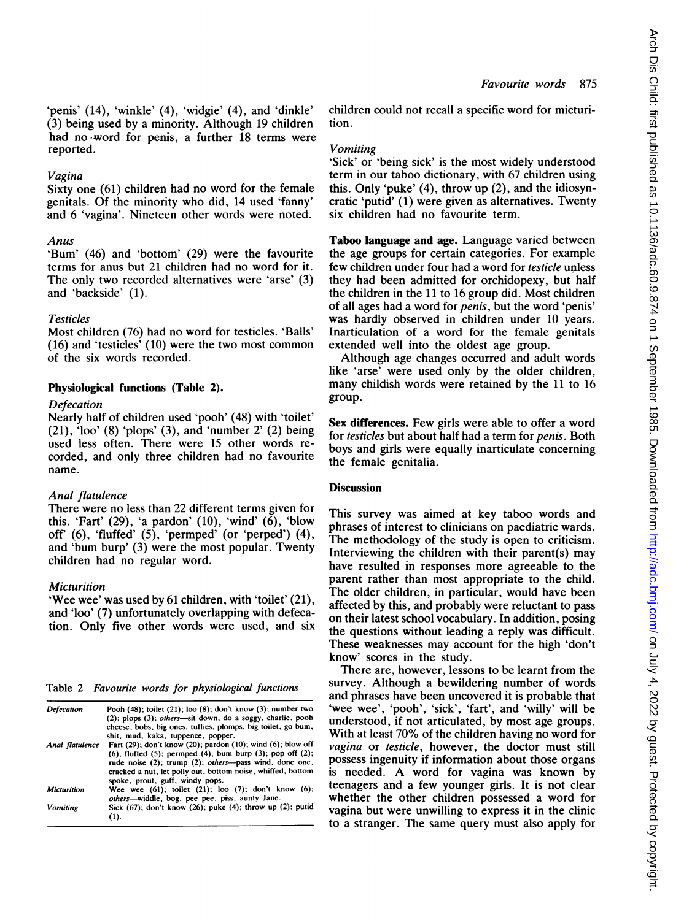'penis' (14), 'winkle' (4), 'widgie' (4), and 'dinkle' (3) being used by a minority. Although 19 children had no-word for penis, a further 18 terms were reported.

### Vagina

Sixty one (61) children had no word for the female genitals. Of the minority who did, 14 used 'fanny' and 6 'vagina'. Nineteen other words were noted.

# Anus

'Bum' (46) and 'bottom' (29) were the favourite terms for anus but 21 children had no word for it. The only two recorded alternatives were 'arse' (3) and 'backside' (1).

# Testicles

Most children (76) had no word for testicles. 'Balls' (16) and 'testicles' (10) were the two most common of the six words recorded.

# Physiological functions (Table 2).

### Defecation

Nearly half of children used 'pooh' (48) with 'toilet'  $(21)$ , 'loo'  $(8)$  'plops'  $(3)$ , and 'number  $2'$   $(2)$  being used less often. There were 15 other words recorded, and only three children had no favourite name.

# Anal flatulence

There were no less than 22 different terms given for this. 'Fart' (29), 'a pardon' (10), 'wind' (6), 'blow off (6), 'fluffed' (5), 'permped' (or 'perped') (4), and 'bum burp' (3) were the most popular. Twenty children had no regular word.

# **Micturition**

'Wee wee' was used by 61 children, with 'toilet' (21), and 'loo' (7) unfortunately overlapping with defecation. Only five other words were used, and six

Table 2 Favourite words for physiological functions

| Pooh (48); toilet (21); loo (8); don't know (3); number two<br>$(2)$ ; plops $(3)$ ; <i>others</i> —sit down, do a soggy, charlie, pooh<br>cheese, bobs, big ones, tuffies, plomps, big toilet, go bum,<br>shit, mud, kaka, tuppence, popper. |
|-----------------------------------------------------------------------------------------------------------------------------------------------------------------------------------------------------------------------------------------------|
|                                                                                                                                                                                                                                               |
| Fart $(29)$ ; don't know $(20)$ ; pardon $(10)$ ; wind $(6)$ ; blow off                                                                                                                                                                       |
| $(6)$ ; fluffed $(5)$ ; permped $(4)$ ; bum burp $(3)$ ; pop off $(2)$ ;                                                                                                                                                                      |
| rude noise (2); trump (2); others---pass wind, done one,                                                                                                                                                                                      |
| cracked a nut, let polly out, bottom noise, whiffed, bottom                                                                                                                                                                                   |
| spoke, prout, guff, windy pops.                                                                                                                                                                                                               |
| Wee wee $(61)$ ; toilet $(21)$ ; loo $(7)$ ; don't know $(6)$ ;                                                                                                                                                                               |
| others-widdle, bog, pee pee, piss, aunty Jane.                                                                                                                                                                                                |
| Sick $(67)$ ; don't know $(26)$ ; puke $(4)$ ; throw up $(2)$ ; putid<br>(1).                                                                                                                                                                 |
|                                                                                                                                                                                                                                               |

children could not recall a specific word for micturition.

### Vomiting

'Sick' or 'being sick' is the most widely understood term in our taboo dictionary, with 67 children using this. Only 'puke' (4), throw up (2), and the idiosyncratic 'putid' (1) were given as alternatives. Twenty six children had no favourite term.

Taboo language and age. Language varied between the age groups for certain categories. For example few children under four had a word for testicle unless they had been admitted for orchidopexy, but half the children in the 11 to 16 group did. Most children of all ages had a word for penis, but the word 'penis' was hardly observed in children under 10 years. Inarticulation of a word for the female genitals extended well into the oldest age group.

Although age changes occurred and adult words like 'arse' were used only by the older children, many childish words were retained by the 11 to 16 group.

Sex differences. Few girls were able to offer a word for testicles but about half had a term for penis. Both boys and girls were equally inarticulate concerning the female genitalia.

# **Discussion**

This survey was aimed at key taboo words and phrases of interest to clinicians on paediatric wards. The methodology of the study is open to criticism. Interviewing the children with their parent(s) may have resulted in responses more agreeable to the parent rather than most appropriate to the child. The older children, in particular, would have been affected by this, and probably were reluctant to pass on their latest school vocabulary. In addition, posing the questions without leading a reply was difficult. These weaknesses may account for the high 'don't know' scores in the study.

There are, however, lessons to be learnt from the survey. Although a bewildering number of words and phrases have been uncovered it is probable that 'wee wee', 'pooh', 'sick', 'fart', and 'willy' will be understood, if not articulated, by most age groups. With at least 70% of the children having no word for vagina or testicle, however, the doctor must still possess ingenuity if information about those organs is needed. A word for vagina was known by teenagers and a few younger girls. It is not clear whether the other children possessed a word for vagina but were unwilling to express it in the clinic to a stranger. The same query must also apply for